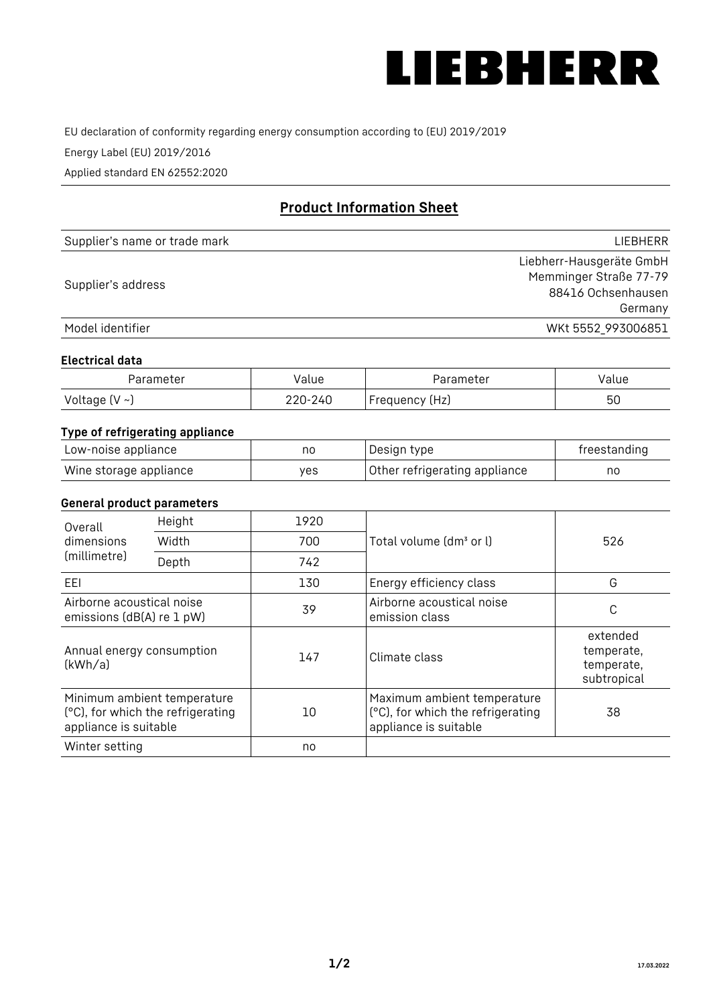

EU declaration of conformity regarding energy consumption according to (EU) 2019/2019

Energy Label (EU) 2019/2016

Applied standard EN 62552:2020

# **Product Information Sheet**

| Supplier's name or trade mark | LIEBHERR                 |
|-------------------------------|--------------------------|
|                               | Liebherr-Hausgeräte GmbH |
| Supplier's address            | Memminger Straße 77-79   |
|                               | 88416 Ochsenhausen       |
|                               | Germany                  |
| Model identifier              | WKt 5552_993006851       |

### **Electrical data**

| Parameter     | Value   | Parameter      | Value |
|---------------|---------|----------------|-------|
| Voltage (V ~) | 220-240 | Frequency (Hz) | 50    |

# **Type of refrigerating appliance**

| Low-noise appliance    | nc  | Design type                   | freestanding |
|------------------------|-----|-------------------------------|--------------|
| Wine storage appliance | ves | Other refrigerating appliance | no           |

#### **General product parameters**

| Height<br>Overall                                      |                                                                  | 1920 |                                                                                           |                                                     |
|--------------------------------------------------------|------------------------------------------------------------------|------|-------------------------------------------------------------------------------------------|-----------------------------------------------------|
| dimensions<br>(millimetre)                             | Width                                                            | 700  | Total volume (dm <sup>3</sup> or l)                                                       | 526                                                 |
|                                                        | Depth                                                            | 742  |                                                                                           |                                                     |
| EEL                                                    |                                                                  | 130  | Energy efficiency class                                                                   | G                                                   |
| Airborne acoustical noise<br>emissions (dB(A) re 1 pW) |                                                                  | 39   | Airborne acoustical noise<br>emission class                                               | C                                                   |
| Annual energy consumption<br>(kWh/a)                   |                                                                  | 147  | Climate class                                                                             | extended<br>temperate,<br>temperate,<br>subtropical |
| appliance is suitable                                  | Minimum ambient temperature<br>(°C), for which the refrigerating | 10   | Maximum ambient temperature<br>(°C), for which the refrigerating<br>appliance is suitable | 38                                                  |
| Winter setting                                         |                                                                  | no   |                                                                                           |                                                     |